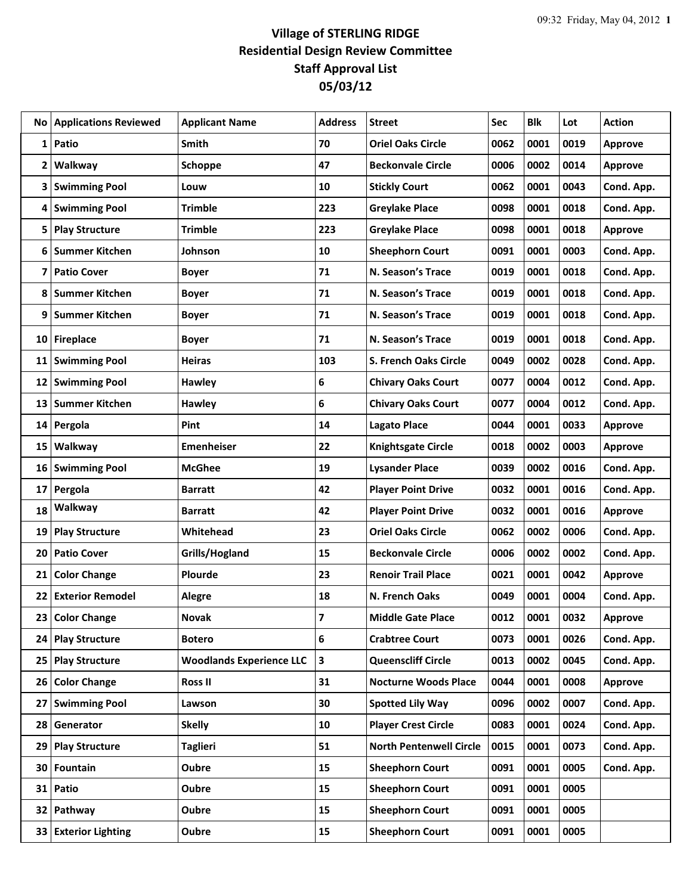## **Village of STERLING RIDGE Residential Design Review Committee Staff Approval List 05/03/12**

| No | <b>Applications Reviewed</b> | <b>Applicant Name</b>           | <b>Address</b>          | <b>Street</b>                  | Sec  | <b>Blk</b> | Lot  | <b>Action</b>  |
|----|------------------------------|---------------------------------|-------------------------|--------------------------------|------|------------|------|----------------|
| 1  | Patio                        | Smith                           | 70                      | <b>Oriel Oaks Circle</b>       | 0062 | 0001       | 0019 | <b>Approve</b> |
| 2  | Walkway                      | Schoppe                         | 47                      | <b>Beckonvale Circle</b>       | 0006 | 0002       | 0014 | <b>Approve</b> |
| 3  | <b>Swimming Pool</b>         | Louw                            | 10                      | <b>Stickly Court</b>           | 0062 | 0001       | 0043 | Cond. App.     |
| 4  | <b>Swimming Pool</b>         | <b>Trimble</b>                  | 223                     | <b>Greylake Place</b>          | 0098 | 0001       | 0018 | Cond. App.     |
| 5  | <b>Play Structure</b>        | <b>Trimble</b>                  | 223                     | <b>Greylake Place</b>          | 0098 | 0001       | 0018 | Approve        |
| 6  | <b>Summer Kitchen</b>        | Johnson                         | 10                      | <b>Sheephorn Court</b>         | 0091 | 0001       | 0003 | Cond. App.     |
| 7  | <b>Patio Cover</b>           | <b>Boyer</b>                    | 71                      | N. Season's Trace              | 0019 | 0001       | 0018 | Cond. App.     |
| 8  | <b>Summer Kitchen</b>        | <b>Boyer</b>                    | 71                      | N. Season's Trace              | 0019 | 0001       | 0018 | Cond. App.     |
| 9  | <b>Summer Kitchen</b>        | <b>Boyer</b>                    | 71                      | N. Season's Trace              | 0019 | 0001       | 0018 | Cond. App.     |
| 10 | <b>Fireplace</b>             | <b>Boyer</b>                    | 71                      | N. Season's Trace              | 0019 | 0001       | 0018 | Cond. App.     |
| 11 | <b>Swimming Pool</b>         | <b>Heiras</b>                   | 103                     | S. French Oaks Circle          | 0049 | 0002       | 0028 | Cond. App.     |
| 12 | <b>Swimming Pool</b>         | <b>Hawley</b>                   | 6                       | <b>Chivary Oaks Court</b>      | 0077 | 0004       | 0012 | Cond. App.     |
| 13 | <b>Summer Kitchen</b>        | Hawley                          | 6                       | <b>Chivary Oaks Court</b>      | 0077 | 0004       | 0012 | Cond. App.     |
| 14 | Pergola                      | Pint                            | 14                      | <b>Lagato Place</b>            | 0044 | 0001       | 0033 | Approve        |
| 15 | Walkway                      | <b>Emenheiser</b>               | 22                      | <b>Knightsgate Circle</b>      | 0018 | 0002       | 0003 | Approve        |
| 16 | <b>Swimming Pool</b>         | <b>McGhee</b>                   | 19                      | <b>Lysander Place</b>          | 0039 | 0002       | 0016 | Cond. App.     |
| 17 | Pergola                      | <b>Barratt</b>                  | 42                      | <b>Player Point Drive</b>      | 0032 | 0001       | 0016 | Cond. App.     |
| 18 | Walkway                      | <b>Barratt</b>                  | 42                      | <b>Player Point Drive</b>      | 0032 | 0001       | 0016 | <b>Approve</b> |
| 19 | <b>Play Structure</b>        | Whitehead                       | 23                      | <b>Oriel Oaks Circle</b>       | 0062 | 0002       | 0006 | Cond. App.     |
| 20 | <b>Patio Cover</b>           | Grills/Hogland                  | 15                      | <b>Beckonvale Circle</b>       | 0006 | 0002       | 0002 | Cond. App.     |
| 21 | <b>Color Change</b>          | Plourde                         | 23                      | <b>Renoir Trail Place</b>      | 0021 | 0001       | 0042 | Approve        |
| 22 | <b>Exterior Remodel</b>      | <b>Alegre</b>                   | 18                      | N. French Oaks                 | 0049 | 0001       | 0004 | Cond. App.     |
| 23 | <b>Color Change</b>          | <b>Novak</b>                    | $\overline{\mathbf{z}}$ | <b>Middle Gate Place</b>       | 0012 | 0001       | 0032 | <b>Approve</b> |
| 24 | <b>Play Structure</b>        | <b>Botero</b>                   | 6                       | <b>Crabtree Court</b>          | 0073 | 0001       | 0026 | Cond. App.     |
| 25 | <b>Play Structure</b>        | <b>Woodlands Experience LLC</b> | 3                       | <b>Queenscliff Circle</b>      | 0013 | 0002       | 0045 | Cond. App.     |
| 26 | <b>Color Change</b>          | <b>Ross II</b>                  | 31                      | <b>Nocturne Woods Place</b>    | 0044 | 0001       | 0008 | Approve        |
| 27 | <b>Swimming Pool</b>         | Lawson                          | 30                      | <b>Spotted Lily Way</b>        | 0096 | 0002       | 0007 | Cond. App.     |
| 28 | Generator                    | <b>Skelly</b>                   | 10                      | <b>Player Crest Circle</b>     | 0083 | 0001       | 0024 | Cond. App.     |
| 29 | <b>Play Structure</b>        | <b>Taglieri</b>                 | 51                      | <b>North Pentenwell Circle</b> | 0015 | 0001       | 0073 | Cond. App.     |
| 30 | Fountain                     | Oubre                           | 15                      | <b>Sheephorn Court</b>         | 0091 | 0001       | 0005 | Cond. App.     |
| 31 | Patio                        | Oubre                           | 15                      | <b>Sheephorn Court</b>         | 0091 | 0001       | 0005 |                |
| 32 | Pathway                      | Oubre                           | 15                      | <b>Sheephorn Court</b>         | 0091 | 0001       | 0005 |                |
| 33 | <b>Exterior Lighting</b>     | Oubre                           | 15                      | <b>Sheephorn Court</b>         | 0091 | 0001       | 0005 |                |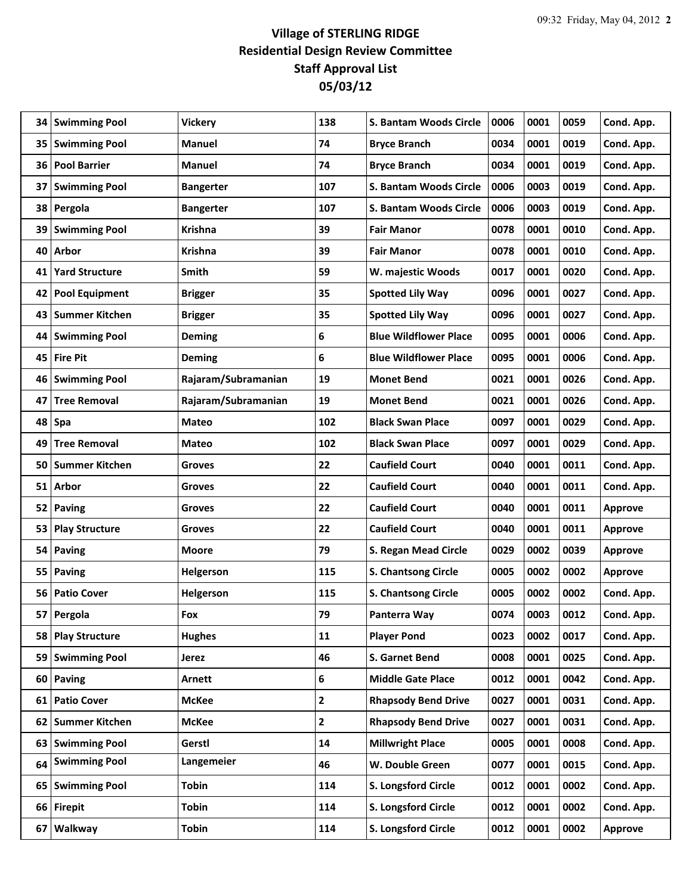## **Village of STERLING RIDGE Residential Design Review Committee Staff Approval List 05/03/12**

| 34 | <b>Swimming Pool</b>  | <b>Vickery</b>      | 138 | S. Bantam Woods Circle       | 0006 | 0001 | 0059 | Cond. App.     |
|----|-----------------------|---------------------|-----|------------------------------|------|------|------|----------------|
| 35 | <b>Swimming Pool</b>  | <b>Manuel</b>       | 74  | <b>Bryce Branch</b>          | 0034 | 0001 | 0019 | Cond. App.     |
| 36 | <b>Pool Barrier</b>   | Manuel              | 74  | <b>Bryce Branch</b>          | 0034 | 0001 | 0019 | Cond. App.     |
| 37 | <b>Swimming Pool</b>  | <b>Bangerter</b>    | 107 | S. Bantam Woods Circle       | 0006 | 0003 | 0019 | Cond. App.     |
| 38 | Pergola               | <b>Bangerter</b>    | 107 | S. Bantam Woods Circle       | 0006 | 0003 | 0019 | Cond. App.     |
| 39 | <b>Swimming Pool</b>  | <b>Krishna</b>      | 39  | <b>Fair Manor</b>            | 0078 | 0001 | 0010 | Cond. App.     |
| 40 | Arbor                 | <b>Krishna</b>      | 39  | <b>Fair Manor</b>            | 0078 | 0001 | 0010 | Cond. App.     |
| 41 | <b>Yard Structure</b> | Smith               | 59  | W. majestic Woods            | 0017 | 0001 | 0020 | Cond. App.     |
| 42 | <b>Pool Equipment</b> | <b>Brigger</b>      | 35  | <b>Spotted Lily Way</b>      | 0096 | 0001 | 0027 | Cond. App.     |
| 43 | <b>Summer Kitchen</b> | <b>Brigger</b>      | 35  | <b>Spotted Lily Way</b>      | 0096 | 0001 | 0027 | Cond. App.     |
| 44 | <b>Swimming Pool</b>  | <b>Deming</b>       | 6   | <b>Blue Wildflower Place</b> | 0095 | 0001 | 0006 | Cond. App.     |
| 45 | <b>Fire Pit</b>       | <b>Deming</b>       | 6   | <b>Blue Wildflower Place</b> | 0095 | 0001 | 0006 | Cond. App.     |
| 46 | <b>Swimming Pool</b>  | Rajaram/Subramanian | 19  | <b>Monet Bend</b>            | 0021 | 0001 | 0026 | Cond. App.     |
| 47 | <b>Tree Removal</b>   | Rajaram/Subramanian | 19  | <b>Monet Bend</b>            | 0021 | 0001 | 0026 | Cond. App.     |
| 48 | Spa                   | <b>Mateo</b>        | 102 | <b>Black Swan Place</b>      | 0097 | 0001 | 0029 | Cond. App.     |
| 49 | <b>Tree Removal</b>   | <b>Mateo</b>        | 102 | <b>Black Swan Place</b>      | 0097 | 0001 | 0029 | Cond. App.     |
| 50 | <b>Summer Kitchen</b> | <b>Groves</b>       | 22  | <b>Caufield Court</b>        | 0040 | 0001 | 0011 | Cond. App.     |
| 51 | Arbor                 | Groves              | 22  | <b>Caufield Court</b>        | 0040 | 0001 | 0011 | Cond. App.     |
| 52 | <b>Paving</b>         | Groves              | 22  | <b>Caufield Court</b>        | 0040 | 0001 | 0011 | <b>Approve</b> |
| 53 | <b>Play Structure</b> | <b>Groves</b>       | 22  | <b>Caufield Court</b>        | 0040 | 0001 | 0011 | <b>Approve</b> |
| 54 | Paving                | <b>Moore</b>        | 79  | S. Regan Mead Circle         | 0029 | 0002 | 0039 | <b>Approve</b> |
| 55 | <b>Paving</b>         | Helgerson           | 115 | S. Chantsong Circle          | 0005 | 0002 | 0002 | Approve        |
| 56 | <b>Patio Cover</b>    | Helgerson           | 115 | <b>S. Chantsong Circle</b>   | 0005 | 0002 | 0002 | Cond. App.     |
| 57 | Pergola               | Fox                 | 79  | Panterra Way                 | 0074 | 0003 | 0012 | Cond. App.     |
| 58 | <b>Play Structure</b> | <b>Hughes</b>       | 11  | <b>Player Pond</b>           | 0023 | 0002 | 0017 | Cond. App.     |
| 59 | <b>Swimming Pool</b>  | Jerez               | 46  | S. Garnet Bend               | 0008 | 0001 | 0025 | Cond. App.     |
| 60 | Paving                | <b>Arnett</b>       | 6   | <b>Middle Gate Place</b>     | 0012 | 0001 | 0042 | Cond. App.     |
| 61 | <b>Patio Cover</b>    | <b>McKee</b>        | 2   | <b>Rhapsody Bend Drive</b>   | 0027 | 0001 | 0031 | Cond. App.     |
| 62 | <b>Summer Kitchen</b> | <b>McKee</b>        | 2   | <b>Rhapsody Bend Drive</b>   | 0027 | 0001 | 0031 | Cond. App.     |
| 63 | <b>Swimming Pool</b>  | Gerstl              | 14  | <b>Millwright Place</b>      | 0005 | 0001 | 0008 | Cond. App.     |
| 64 | <b>Swimming Pool</b>  | Langemeier          | 46  | W. Double Green              | 0077 | 0001 | 0015 | Cond. App.     |
| 65 | <b>Swimming Pool</b>  | Tobin               | 114 | S. Longsford Circle          | 0012 | 0001 | 0002 | Cond. App.     |
|    | 66 Firepit            | <b>Tobin</b>        | 114 | S. Longsford Circle          | 0012 | 0001 | 0002 | Cond. App.     |
| 67 | Walkway               | <b>Tobin</b>        | 114 | S. Longsford Circle          | 0012 | 0001 | 0002 | Approve        |